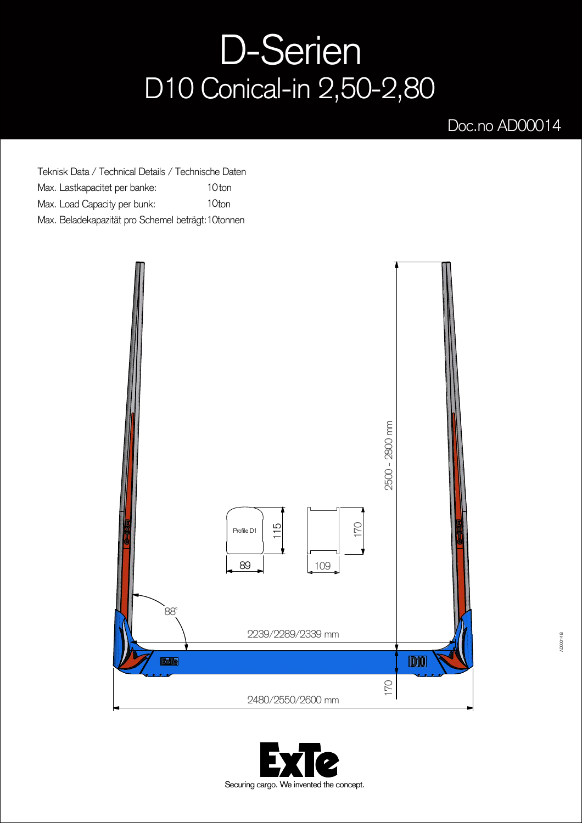## D-Serien D10 Conical-in 2,50-2,80

## Doc.no AD00014

Teknisk Data / Technical Details / Technische Daten Max. Lastkapacitet per banke: Max. Load Capacity per bunk: Max. Beladekapazität pro Schemel beträgt: 10tonnen 10<sub>ton</sub> 10ton